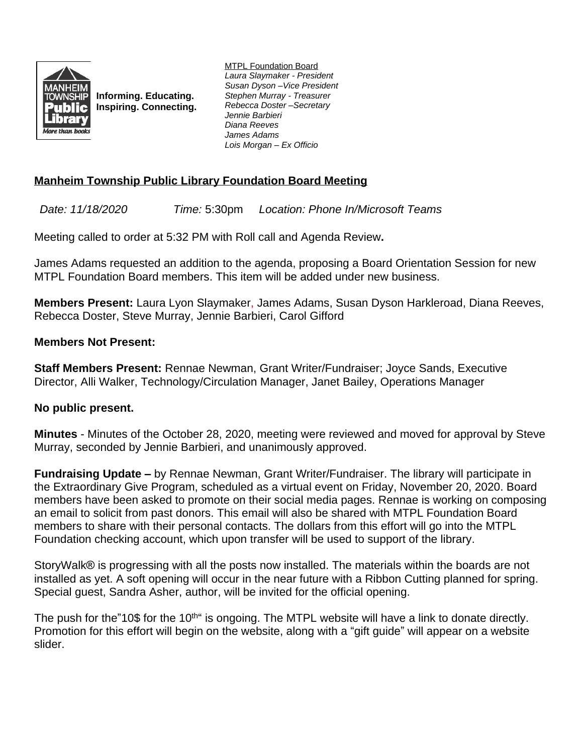

**Informing. Educating. Inspiring. Connecting.** MTPL Foundation Board *Laura Slaymaker - President Susan Dyson –Vice President Stephen Murray - Treasurer Rebecca Doster –Secretary Jennie Barbieri Diana Reeves James Adams Lois Morgan – Ex Officio*

## **Manheim Township Public Library Foundation Board Meeting**

*Date: 11/18/2020 Time:* 5:30pm *Location: Phone In/Microsoft Teams*

Meeting called to order at 5:32 PM with Roll call and Agenda Review**.**

James Adams requested an addition to the agenda, proposing a Board Orientation Session for new MTPL Foundation Board members. This item will be added under new business.

**Members Present:** Laura Lyon Slaymaker, James Adams, Susan Dyson Harkleroad, Diana Reeves, Rebecca Doster, Steve Murray, Jennie Barbieri, Carol Gifford

## **Members Not Present:**

**Staff Members Present:** Rennae Newman, Grant Writer/Fundraiser; Joyce Sands, Executive Director, Alli Walker, Technology/Circulation Manager, Janet Bailey, Operations Manager

## **No public present.**

**Minutes** - Minutes of the October 28, 2020, meeting were reviewed and moved for approval by Steve Murray, seconded by Jennie Barbieri, and unanimously approved.

**Fundraising Update –** by Rennae Newman, Grant Writer/Fundraiser. The library will participate in the Extraordinary Give Program, scheduled as a virtual event on Friday, November 20, 2020. Board members have been asked to promote on their social media pages. Rennae is working on composing an email to solicit from past donors. This email will also be shared with MTPL Foundation Board members to share with their personal contacts. The dollars from this effort will go into the MTPL Foundation checking account, which upon transfer will be used to support of the library.

StoryWalk® is progressing with all the posts now installed. The materials within the boards are not installed as yet. A soft opening will occur in the near future with a Ribbon Cutting planned for spring. Special guest, Sandra Asher, author, will be invited for the official opening.

The push for the"10\$ for the 10<sup>th</sup>" is ongoing. The MTPL website will have a link to donate directly. Promotion for this effort will begin on the website, along with a "gift guide" will appear on a website slider.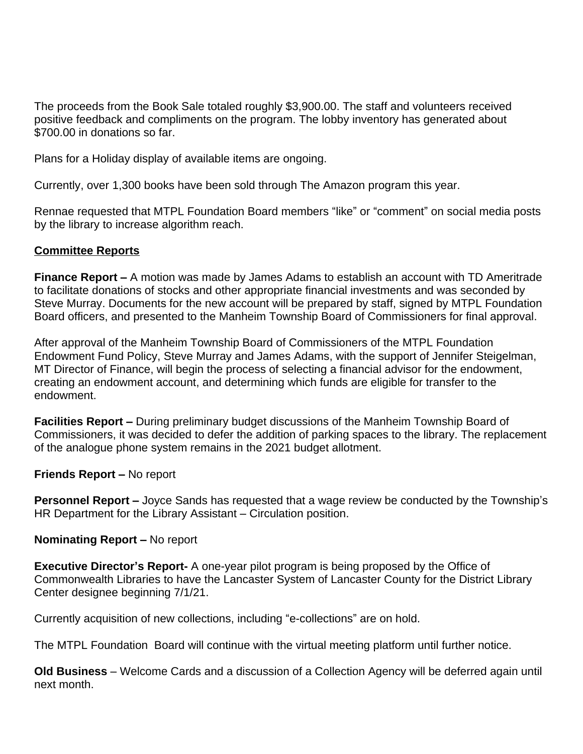The proceeds from the Book Sale totaled roughly \$3,900.00. The staff and volunteers received positive feedback and compliments on the program. The lobby inventory has generated about \$700.00 in donations so far.

Plans for a Holiday display of available items are ongoing.

Currently, over 1,300 books have been sold through The Amazon program this year.

Rennae requested that MTPL Foundation Board members "like" or "comment" on social media posts by the library to increase algorithm reach.

## **Committee Reports**

**Finance Report –** A motion was made by James Adams to establish an account with TD Ameritrade to facilitate donations of stocks and other appropriate financial investments and was seconded by Steve Murray. Documents for the new account will be prepared by staff, signed by MTPL Foundation Board officers, and presented to the Manheim Township Board of Commissioners for final approval.

After approval of the Manheim Township Board of Commissioners of the MTPL Foundation Endowment Fund Policy, Steve Murray and James Adams, with the support of Jennifer Steigelman, MT Director of Finance, will begin the process of selecting a financial advisor for the endowment, creating an endowment account, and determining which funds are eligible for transfer to the endowment.

**Facilities Report –** During preliminary budget discussions of the Manheim Township Board of Commissioners, it was decided to defer the addition of parking spaces to the library. The replacement of the analogue phone system remains in the 2021 budget allotment.

**Friends Report –** No report

**Personnel Report –** Joyce Sands has requested that a wage review be conducted by the Township's HR Department for the Library Assistant – Circulation position.

**Nominating Report –** No report

**Executive Director's Report-** A one-year pilot program is being proposed by the Office of Commonwealth Libraries to have the Lancaster System of Lancaster County for the District Library Center designee beginning 7/1/21.

Currently acquisition of new collections, including "e-collections" are on hold.

The MTPL Foundation Board will continue with the virtual meeting platform until further notice.

**Old Business** – Welcome Cards and a discussion of a Collection Agency will be deferred again until next month.